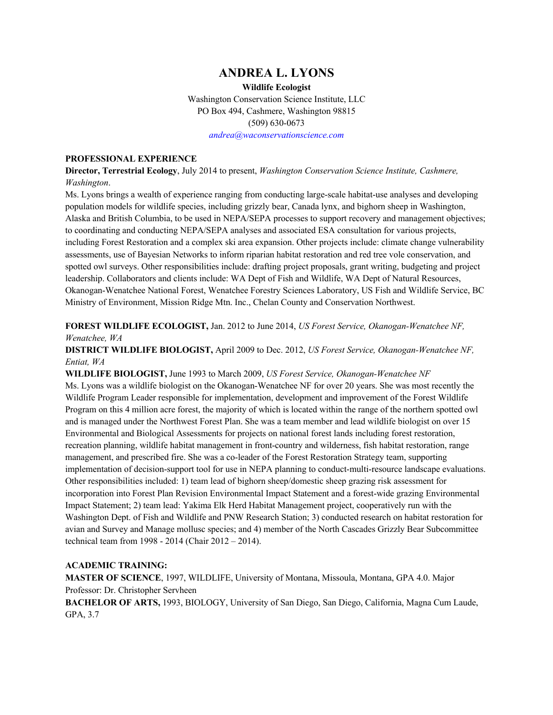## **ANDREA L. LYONS**

**Wildlife Ecologist** Washington Conservation Science Institute, LLC PO Box 494, Cashmere, Washington 98815 (509) 630-0673

*andrea@waconservationscience.com*

## **PROFESSIONAL EXPERIENCE**

**Director, Terrestrial Ecology**, July 2014 to present, *Washington Conservation Science Institute, Cashmere, Washington*.

Ms. Lyons brings a wealth of experience ranging from conducting large-scale habitat-use analyses and developing population models for wildlife species, including grizzly bear, Canada lynx, and bighorn sheep in Washington, Alaska and British Columbia, to be used in NEPA/SEPA processes to support recovery and management objectives; to coordinating and conducting NEPA/SEPA analyses and associated ESA consultation for various projects, including Forest Restoration and a complex ski area expansion. Other projects include: climate change vulnerability assessments, use of Bayesian Networks to inform riparian habitat restoration and red tree vole conservation, and spotted owl surveys. Other responsibilities include: drafting project proposals, grant writing, budgeting and project leadership. Collaborators and clients include: WA Dept of Fish and Wildlife, WA Dept of Natural Resources, Okanogan-Wenatchee National Forest, Wenatchee Forestry Sciences Laboratory, US Fish and Wildlife Service, BC Ministry of Environment, Mission Ridge Mtn. Inc., Chelan County and Conservation Northwest.

**FOREST WILDLIFE ECOLOGIST,** Jan. 2012 to June 2014, *US Forest Service, Okanogan-Wenatchee NF, Wenatchee, WA*

**DISTRICT WILDLIFE BIOLOGIST,** April 2009 to Dec. 2012, *US Forest Service, Okanogan-Wenatchee NF, Entiat, WA*

**WILDLIFE BIOLOGIST,** June 1993 to March 2009, *US Forest Service, Okanogan-Wenatchee NF* Ms. Lyons was a wildlife biologist on the Okanogan-Wenatchee NF for over 20 years. She was most recently the Wildlife Program Leader responsible for implementation, development and improvement of the Forest Wildlife Program on this 4 million acre forest, the majority of which is located within the range of the northern spotted owl and is managed under the Northwest Forest Plan. She was a team member and lead wildlife biologist on over 15 Environmental and Biological Assessments for projects on national forest lands including forest restoration, recreation planning, wildlife habitat management in front-country and wilderness, fish habitat restoration, range management, and prescribed fire. She was a co-leader of the Forest Restoration Strategy team, supporting implementation of decision-support tool for use in NEPA planning to conduct-multi-resource landscape evaluations. Other responsibilities included: 1) team lead of bighorn sheep/domestic sheep grazing risk assessment for incorporation into Forest Plan Revision Environmental Impact Statement and a forest-wide grazing Environmental Impact Statement; 2) team lead: Yakima Elk Herd Habitat Management project, cooperatively run with the Washington Dept. of Fish and Wildlife and PNW Research Station; 3) conducted research on habitat restoration for avian and Survey and Manage mollusc species; and 4) member of the North Cascades Grizzly Bear Subcommittee technical team from 1998 - 2014 (Chair 2012 – 2014).

## **ACADEMIC TRAINING:**

**MASTER OF SCIENCE**, 1997, WILDLIFE, University of Montana, Missoula, Montana, GPA 4.0. Major Professor: Dr. Christopher Servheen

**BACHELOR OF ARTS,** 1993, BIOLOGY, University of San Diego, San Diego, California, Magna Cum Laude, GPA, 3.7